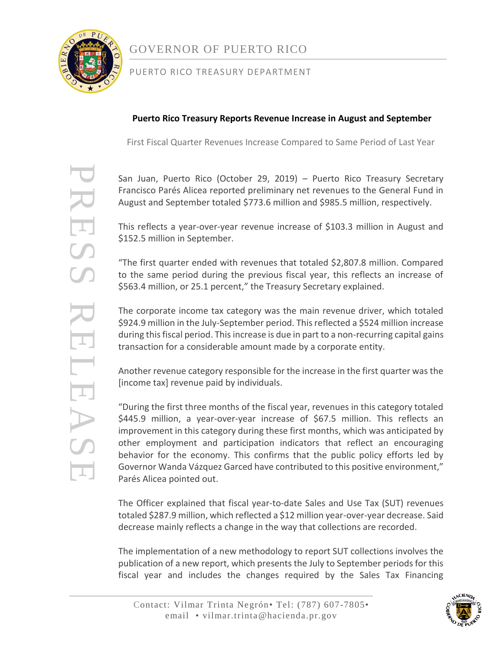

PRESS RELEASE

RELEAS

 $\mathcal{F}$ 

# GOVERNOR OF PUERTO RICO

### PUERTO RICO TREASURY DEPARTMENT

### **Puerto Rico Treasury Reports Revenue Increase in August and September**

First Fiscal Quarter Revenues Increase Compared to Same Period of Last Year

San Juan, Puerto Rico (October 29, 2019) – Puerto Rico Treasury Secretary Francisco Parés Alicea reported preliminary net revenues to the General Fund in August and September totaled \$773.6 million and \$985.5 million, respectively.

This reflects a year-over-year revenue increase of \$103.3 million in August and \$152.5 million in September.

"The first quarter ended with revenues that totaled \$2,807.8 million. Compared to the same period during the previous fiscal year, this reflects an increase of \$563.4 million, or 25.1 percent," the Treasury Secretary explained.

The corporate income tax category was the main revenue driver, which totaled \$924.9 million in the July-September period. This reflected a \$524 million increase during this fiscal period. This increase is due in part to a non-recurring capital gains transaction for a considerable amount made by a corporate entity.

Another revenue category responsible for the increase in the first quarter was the [income tax] revenue paid by individuals.

"During the first three months of the fiscal year, revenues in this category totaled \$445.9 million, a year-over-year increase of \$67.5 million. This reflects an improvement in this category during these first months, which was anticipated by other employment and participation indicators that reflect an encouraging behavior for the economy. This confirms that the public policy efforts led by Governor Wanda Vázquez Garced have contributed to this positive environment," Parés Alicea pointed out.

The Officer explained that fiscal year-to-date Sales and Use Tax (SUT) revenues totaled \$287.9 million, which reflected a \$12 million year-over-year decrease. Said decrease mainly reflects a change in the way that collections are recorded.

The implementation of a new methodology to report SUT collections involves the publication of a new report, which presents the July to September periods for this fiscal year and includes the changes required by the Sales Tax Financing

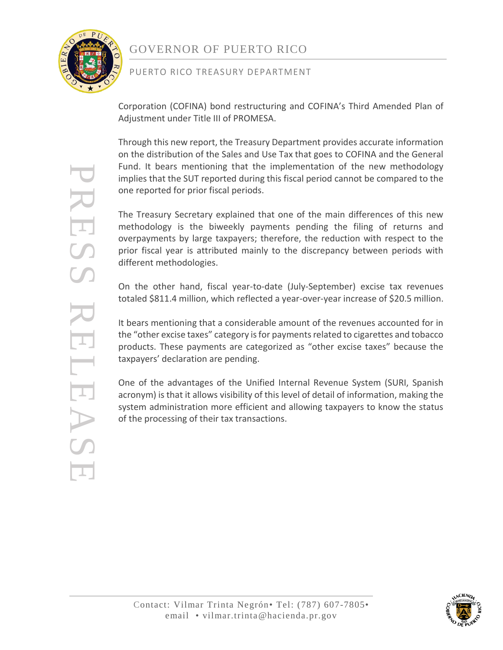

PRESS RELEASE

ESSER

# GOVERNOR OF PUERTO RICO

### PUERTO RICO TREASURY DEPARTMENT

Corporation (COFINA) bond restructuring and COFINA's Third Amended Plan of Adjustment under Title III of PROMESA.

Through this new report, the Treasury Department provides accurate information on the distribution of the Sales and Use Tax that goes to COFINA and the General Fund. It bears mentioning that the implementation of the new methodology implies that the SUT reported during this fiscal period cannot be compared to the one reported for prior fiscal periods.

The Treasury Secretary explained that one of the main differences of this new methodology is the biweekly payments pending the filing of returns and overpayments by large taxpayers; therefore, the reduction with respect to the prior fiscal year is attributed mainly to the discrepancy between periods with different methodologies.

On the other hand, fiscal year-to-date (July-September) excise tax revenues totaled \$811.4 million, which reflected a year-over-year increase of \$20.5 million.

It bears mentioning that a considerable amount of the revenues accounted for in the "other excise taxes" category is for payments related to cigarettes and tobacco products. These payments are categorized as "other excise taxes" because the taxpayers' declaration are pending.

One of the advantages of the Unified Internal Revenue System (SURI, Spanish acronym) is that it allows visibility of this level of detail of information, making the system administration more efficient and allowing taxpayers to know the status of the processing of their tax transactions.

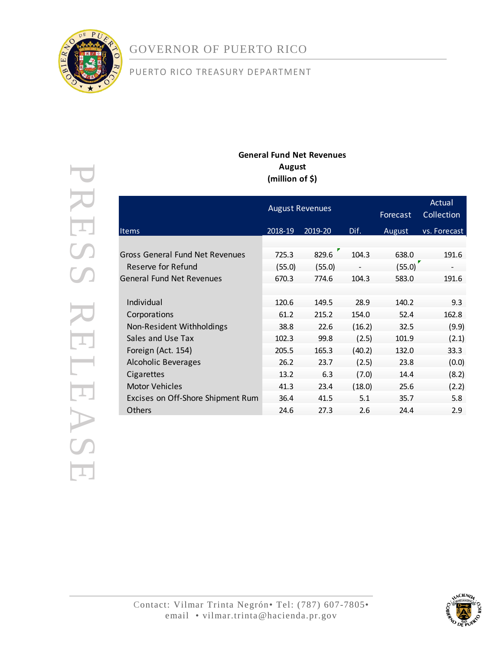

# GOVERNOR OF PUERTO RICO

# PUERTO RICO TREASURY DEPARTMENT

#### **General Fund Net Revenues August (million of \$)**

|                                   |         | <b>August Revenues</b> | Forecast | Actual<br>Collection |              |
|-----------------------------------|---------|------------------------|----------|----------------------|--------------|
| Items                             | 2018-19 | 2019-20                | Dif.     | August               | vs. Forecast |
|                                   |         |                        |          |                      |              |
| Gross General Fund Net Revenues   | 725.3   | 829.6                  | 104.3    | 638.0                | 191.6        |
| Reserve for Refund                | (55.0)  | (55.0)                 |          | (55.0)               |              |
| <b>General Fund Net Revenues</b>  | 670.3   | 774.6                  | 104.3    | 583.0                | 191.6        |
|                                   |         |                        |          |                      |              |
| Individual                        | 120.6   | 149.5                  | 28.9     | 140.2                | 9.3          |
| Corporations                      | 61.2    | 215.2                  | 154.0    | 52.4                 | 162.8        |
| Non-Resident Withholdings         | 38.8    | 22.6                   | (16.2)   | 32.5                 | (9.9)        |
| Sales and Use Tax                 | 102.3   | 99.8                   | (2.5)    | 101.9                | (2.1)        |
| Foreign (Act. 154)                | 205.5   | 165.3                  | (40.2)   | 132.0                | 33.3         |
| <b>Alcoholic Beverages</b>        | 26.2    | 23.7                   | (2.5)    | 23.8                 | (0.0)        |
| Cigarettes                        | 13.2    | 6.3                    | (7.0)    | 14.4                 | (8.2)        |
| <b>Motor Vehicles</b>             | 41.3    | 23.4                   | (18.0)   | 25.6                 | (2.2)        |
| Excises on Off-Shore Shipment Rum | 36.4    | 41.5                   | 5.1      | 35.7                 | 5.8          |
| Others                            | 24.6    | 27.3                   | 2.6      | 24.4                 | 2.9          |